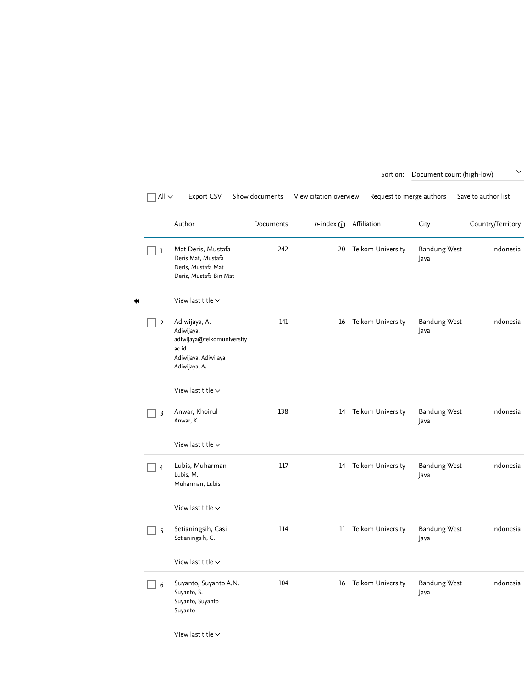|   | All $\sim$     | Export CSV                                                                                                  | Show documents | View citation overview  | Request to merge authors |                             | Save to author list |
|---|----------------|-------------------------------------------------------------------------------------------------------------|----------------|-------------------------|--------------------------|-----------------------------|---------------------|
|   |                | Author                                                                                                      | Documents      | h-index (i) Affiliation |                          | City                        | Country/Territory   |
|   | 1              | Mat Deris, Mustafa<br>Deris Mat, Mustafa<br>Deris, Mustafa Mat<br>Deris, Mustafa Bin Mat                    | 242            | 20                      | Telkom University        | <b>Bandung West</b><br>Java | Indonesia           |
| ₩ |                | View last title $\sim$                                                                                      |                |                         |                          |                             |                     |
|   | 2              | Adiwijaya, A.<br>Adiwijaya,<br>adiwijaya@telkomuniversity<br>ac id<br>Adiwijaya, Adiwijaya<br>Adiwijaya, A. | 141            | 16                      | Telkom University        | <b>Bandung West</b><br>Java | Indonesia           |
|   |                | View last title $\vee$                                                                                      |                |                         |                          |                             |                     |
|   | 3              | Anwar, Khoirul<br>Anwar, K.                                                                                 | 138            | 14                      | Telkom University        | <b>Bandung West</b><br>Java | Indonesia           |
|   |                | View last title $\sim$                                                                                      |                |                         |                          |                             |                     |
|   | $\overline{4}$ | Lubis, Muharman<br>Lubis, M.<br>Muharman, Lubis                                                             | 117            |                         | 14 Telkom University     | <b>Bandung West</b><br>Java | Indonesia           |
|   |                | View last title $\sim$                                                                                      |                |                         |                          |                             |                     |
|   | 5              | Setianingsih, Casi<br>Setianingsih, C.                                                                      | 114            | 11                      | Telkom University        | <b>Bandung West</b><br>Java | Indonesia           |
|   |                | View last title $\sim$                                                                                      |                |                         |                          |                             |                     |
|   | 6              | Suyanto, Suyanto A.N.<br>Suyanto, S.<br>Suyanto, Suyanto<br>Suyanto                                         | 104            | 16                      | Telkom University        | <b>Bandung West</b><br>Java | Indonesia           |

Sort on: Document count (high-low)

[View last title](https://www.scopus.com/results/authorNamesList.uri?sort=count-f&affiliationId=60103730&src=al&st1=Telkom+University&sid=4091a5b0a37341308c079a0e3279cac7&sot=anl&sdt=anl&sl=16&s=AF--ID%2860103730%29&resultsPerPage=50&offset=1&jtp=false¤tPage=1&previousSelectionCount=0&tooManySelections=false&showFullList=false&authorPreferredName=&cl=t&authorSearchURL=https%3a%2f%2fwww.scopus.com%2fsearch%2fform.uri%3fdisplay%3dauthorLookup%26st1%3dTelkom%2bUniversity%26affilName%3d%26origin%3dsearchauthorlookup%26returnTo%3dauthorLookup%26txGid%3df3eac36365df58040a8bdc4368c54440&allField=off&allField2=off&selectionPageSearch=anl&authSubject=LFSC&authSubject=HLSC&authSubject=PHSC&authSubject=SOSC&exactAuthorSearch=false&activeFlag=true&origin=AuthorNamesList&cc=10&multSupersededAuth=&zone=AuthorNamesList&txGid=a48848b8d59ab3e39ccd7d15926b4478#)  $\sim$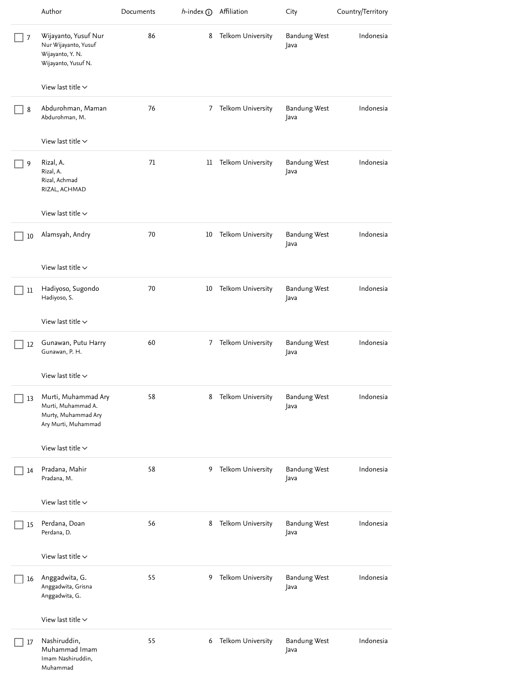|    | Author                                                                                  | Documents | $h$ -index $\odot$ | Affiliation       | City                        | Country/Territory |
|----|-----------------------------------------------------------------------------------------|-----------|--------------------|-------------------|-----------------------------|-------------------|
| 7  | Wijayanto, Yusuf Nur<br>Nur Wijayanto, Yusuf<br>Wijayanto, Y. N.<br>Wijayanto, Yusuf N. | 86        | 8                  | Telkom University | <b>Bandung West</b><br>Java | Indonesia         |
|    | View last title $\sim$                                                                  |           |                    |                   |                             |                   |
| 8  | Abdurohman, Maman<br>Abdurohman, M.                                                     | 76        | 7                  | Telkom University | <b>Bandung West</b><br>Java | Indonesia         |
|    | View last title $\sim$                                                                  |           |                    |                   |                             |                   |
| 9  | Rizal, A.<br>Rizal, A.<br>Rizal, Achmad<br>RIZAL, ACHMAD                                | 71        | 11                 | Telkom University | <b>Bandung West</b><br>Java | Indonesia         |
|    | View last title $\vee$                                                                  |           |                    |                   |                             |                   |
| 10 | Alamsyah, Andry                                                                         | 70        | 10                 | Telkom University | <b>Bandung West</b><br>Java | Indonesia         |
|    | View last title $\vee$                                                                  |           |                    |                   |                             |                   |
| 11 | Hadiyoso, Sugondo<br>Hadiyoso, S.                                                       | 70        | 10                 | Telkom University | <b>Bandung West</b><br>Java | Indonesia         |
|    | View last title $\sim$                                                                  |           |                    |                   |                             |                   |
| 12 | Gunawan, Putu Harry<br>Gunawan, P. H.                                                   | 60        | 7                  | Telkom University | <b>Bandung West</b><br>Java | Indonesia         |
|    | View last title $\smallsmile$                                                           |           |                    |                   |                             |                   |
| 13 | Murti, Muhammad Ary<br>Murti, Muhammad A.<br>Murty, Muhammad Ary<br>Ary Murti, Muhammad | 58        | 8                  | Telkom University | <b>Bandung West</b><br>Java | Indonesia         |
|    | View last title $\sim$                                                                  |           |                    |                   |                             |                   |
| 14 | Pradana, Mahir<br>Pradana, M.                                                           | 58        | 9                  | Telkom University | <b>Bandung West</b><br>Java | Indonesia         |
|    | View last title $\vee$                                                                  |           |                    |                   |                             |                   |
| 15 | Perdana, Doan<br>Perdana, D.                                                            | 56        | 8                  | Telkom University | <b>Bandung West</b><br>Java | Indonesia         |
|    | View last title $\vee$                                                                  |           |                    |                   |                             |                   |
| 16 | Anggadwita, G.<br>Anggadwita, Grisna<br>Anggadwita, G.                                  | 55        | 9                  | Telkom University | <b>Bandung West</b><br>Java | Indonesia         |
|    | View last title $\backsim$                                                              |           |                    |                   |                             |                   |
| 17 | Nashiruddin,<br>Muhammad Imam<br>Imam Nashiruddin,<br>Muhammad                          | 55        | 6                  | Telkom University | <b>Bandung West</b><br>Java | Indonesia         |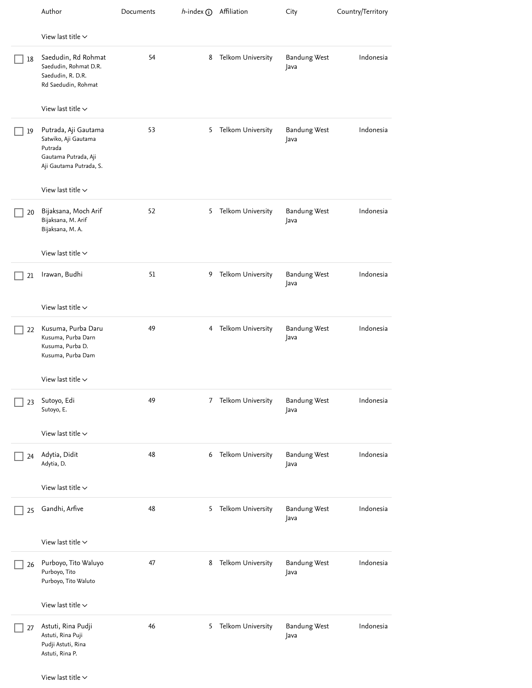|    | Author                                                                                                     | Documents | $h$ -index (i) Affiliation |                     | City                        | Country/Territory |
|----|------------------------------------------------------------------------------------------------------------|-----------|----------------------------|---------------------|-----------------------------|-------------------|
|    | View last title $\sim$                                                                                     |           |                            |                     |                             |                   |
| 18 | Saedudin, Rd Rohmat<br>Saedudin, Rohmat D.R.<br>Saedudin, R. D.R.<br>Rd Saedudin, Rohmat                   | 54        | 8                          | Telkom University   | <b>Bandung West</b><br>Java | Indonesia         |
|    | View last title $\sim$                                                                                     |           |                            |                     |                             |                   |
| 19 | Putrada, Aji Gautama<br>Satwiko, Aji Gautama<br>Putrada<br>Gautama Putrada, Aji<br>Aji Gautama Putrada, S. | 53        | 5                          | Telkom University   | <b>Bandung West</b><br>Java | Indonesia         |
|    | View last title $\sim$                                                                                     |           |                            |                     |                             |                   |
| 20 | Bijaksana, Moch Arif<br>Bijaksana, M. Arif<br>Bijaksana, M.A.                                              | 52        | 5                          | Telkom University   | <b>Bandung West</b><br>Java | Indonesia         |
|    | View last title $\vee$                                                                                     |           |                            |                     |                             |                   |
| 21 | Irawan, Budhi                                                                                              | 51        | 9                          | Telkom University   | <b>Bandung West</b><br>Java | Indonesia         |
|    | View last title $\sim$                                                                                     |           |                            |                     |                             |                   |
| 22 | Kusuma, Purba Daru<br>Kusuma, Purba Darn<br>Kusuma, Purba D.<br>Kusuma, Purba Dam                          | 49        |                            | 4 Telkom University | <b>Bandung West</b><br>Java | Indonesia         |
|    | View last title $\vee$                                                                                     |           |                            |                     |                             |                   |
| 23 | Sutoyo, Edi<br>Sutoyo, E.                                                                                  | 49        | 7                          | Telkom University   | <b>Bandung West</b><br>Java | Indonesia         |
|    | View last title $\sim$                                                                                     |           |                            |                     |                             |                   |
| 24 | Adytia, Didit<br>Adytia, D.                                                                                | 48        | 6                          | Telkom University   | <b>Bandung West</b><br>Java | Indonesia         |
|    | View last title $\vee$                                                                                     |           |                            |                     |                             |                   |
| 25 | Gandhi, Arfive                                                                                             | 48        | 5                          | Telkom University   | <b>Bandung West</b><br>Java | Indonesia         |
|    | View last title $\sim$                                                                                     |           |                            |                     |                             |                   |
| 26 | Purboyo, Tito Waluyo<br>Purboyo, Tito<br>Purboyo, Tito Waluto                                              | 47        | 8                          | Telkom University   | <b>Bandung West</b><br>Java | Indonesia         |
|    | View last title $\vee$                                                                                     |           |                            |                     |                             |                   |
| 27 | Astuti, Rina Pudji<br>Astuti, Rina Puji<br>Pudji Astuti, Rina<br>Astuti, Rina P.                           | 46        | 5                          | Telkom University   | <b>Bandung West</b><br>Java | Indonesia         |
|    | View last title $\sim$                                                                                     |           |                            |                     |                             |                   |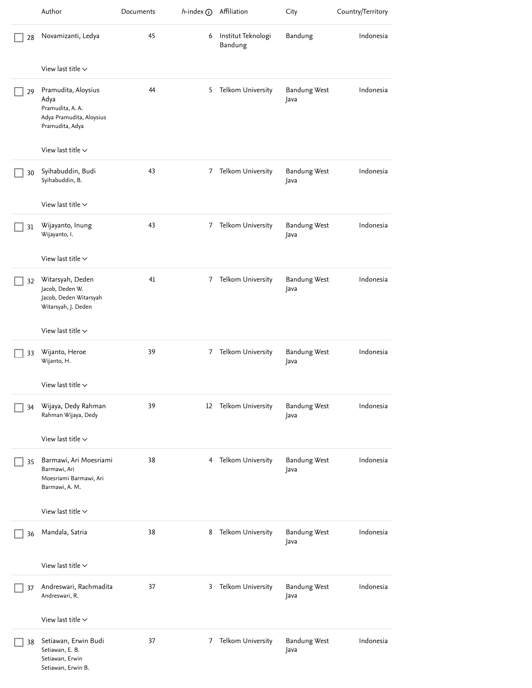|    | Author                                                                                         | Documents | $h$ -index $\odot$ | Affiliation                   | City                        | Country/Territory |
|----|------------------------------------------------------------------------------------------------|-----------|--------------------|-------------------------------|-----------------------------|-------------------|
| 28 | Novamizanti, Ledya                                                                             | 45        | 6                  | Institut Teknologi<br>Bandung | Bandung                     | Indonesia         |
|    | View last title $\sim$                                                                         |           |                    |                               |                             |                   |
| 29 | Pramudita, Aloysius<br>Adya<br>Pramudita, A. A.<br>Adya Pramudita, Aloysius<br>Pramudita, Adya | 44        | 5                  | Telkom University             | <b>Bandung West</b><br>Java | Indonesia         |
|    | View last title $\vee$                                                                         |           |                    |                               |                             |                   |
| 30 | Syihabuddin, Budi<br>Syihabuddin, B.                                                           | 43        | 7                  | Telkom University             | <b>Bandung West</b><br>Java | Indonesia         |
|    | View last title $\sim$                                                                         |           |                    |                               |                             |                   |
| 31 | Wijayanto, Inung<br>Wijayanto, I.                                                              | 43        | 7                  | Telkom University             | <b>Bandung West</b><br>Java | Indonesia         |
|    | View last title $\vee$                                                                         |           |                    |                               |                             |                   |
| 32 | Witarsyah, Deden<br>Jacob, Deden W.<br>Jacob, Deden Witarsyah<br>Witarsyah, J. Deden           | 41        | 7                  | Telkom University             | <b>Bandung West</b><br>Java | Indonesia         |
|    | View last title $\vee$                                                                         |           |                    |                               |                             |                   |
| 33 | Wijanto, Heroe<br>Wijanto, H.                                                                  | 39        | 7                  | Telkom University             | <b>Bandung West</b><br>Java | Indonesia         |
|    | View last title $\vee$                                                                         |           |                    |                               |                             |                   |
| 34 | Wijaya, Dedy Rahman<br>Rahman Wijaya, Dedy                                                     | 39        |                    | 12 Telkom University          | <b>Bandung West</b><br>Java | Indonesia         |
|    | View last title $\sim$                                                                         |           |                    |                               |                             |                   |
| 35 | Barmawi, Ari Moesriami<br>Barmawi, Ari<br>Moesriami Barmawi, Ari<br>Barmawi, A. M.             | 38        | 4                  | Telkom University             | <b>Bandung West</b><br>Java | Indonesia         |
|    | View last title $\sim$                                                                         |           |                    |                               |                             |                   |
| 36 | Mandala, Satria                                                                                | 38        | 8                  | Telkom University             | <b>Bandung West</b><br>Java | Indonesia         |
|    | View last title $\sim$                                                                         |           |                    |                               |                             |                   |
| 37 | Andreswari, Rachmadita<br>Andreswari, R.                                                       | 37        | 3                  | Telkom University             | <b>Bandung West</b><br>Java | Indonesia         |
|    | View last title $\vee$                                                                         |           |                    |                               |                             |                   |
| 38 | Setiawan, Erwin Budi<br>Setiawan, E. B.<br>Setiawan, Erwin<br>Setiawan, Erwin B.               | 37        | 7                  | Telkom University             | <b>Bandung West</b><br>Java | Indonesia         |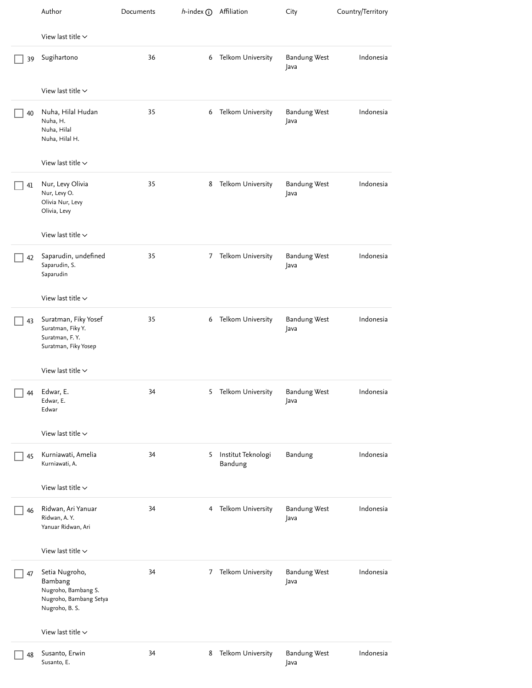|    | Author                                                                                       | Documents | $h$ -index (i) Affiliation |                               | City                        | Country/Territory |
|----|----------------------------------------------------------------------------------------------|-----------|----------------------------|-------------------------------|-----------------------------|-------------------|
|    | View last title $\vee$                                                                       |           |                            |                               |                             |                   |
| 39 | Sugihartono                                                                                  | 36        | 6                          | Telkom University             | <b>Bandung West</b><br>Java | Indonesia         |
|    | View last title $\vee$                                                                       |           |                            |                               |                             |                   |
| 40 | Nuha, Hilal Hudan<br>Nuha, H.<br>Nuha, Hilal<br>Nuha, Hilal H.                               | 35        | 6                          | Telkom University             | <b>Bandung West</b><br>Java | Indonesia         |
|    | View last title $\sim$                                                                       |           |                            |                               |                             |                   |
| 41 | Nur, Levy Olivia<br>Nur, Levy O.<br>Olivia Nur, Levy<br>Olivia, Levy                         | 35        | 8                          | Telkom University             | <b>Bandung West</b><br>Java | Indonesia         |
|    | View last title $\vee$                                                                       |           |                            |                               |                             |                   |
| 42 | Saparudin, undefined<br>Saparudin, S.<br>Saparudin                                           | 35        | 7                          | Telkom University             | <b>Bandung West</b><br>Java | Indonesia         |
|    | View last title $\sim$                                                                       |           |                            |                               |                             |                   |
| 43 | Suratman, Fiky Yosef<br>Suratman, Fiky Y.<br>Suratman, F.Y.<br>Suratman, Fiky Yosep          | 35        | 6                          | Telkom University             | <b>Bandung West</b><br>Java | Indonesia         |
|    | View last title $\vee$                                                                       |           |                            |                               |                             |                   |
|    | $\Box$ 44 Edwar, E<br>Edwar, E.<br>Edwar                                                     | 34        |                            | 5 Telkom University           | Bandung West<br>Java        | Indonesia         |
|    | View last title $\sim$                                                                       |           |                            |                               |                             |                   |
| 45 | Kurniawati, Amelia<br>Kurniawati, A.                                                         | 34        | 5                          | Institut Teknologi<br>Bandung | Bandung                     | Indonesia         |
|    | View last title $\vee$                                                                       |           |                            |                               |                             |                   |
| 46 | Ridwan, Ari Yanuar<br>Ridwan, A.Y.<br>Yanuar Ridwan, Ari                                     | 34        | 4                          | Telkom University             | <b>Bandung West</b><br>Java | Indonesia         |
|    | View last title $\smallsmile$                                                                |           |                            |                               |                             |                   |
| 47 | Setia Nugroho,<br>Bambang<br>Nugroho, Bambang S.<br>Nugroho, Bambang Setya<br>Nugroho, B. S. | 34        | 7                          | Telkom University             | <b>Bandung West</b><br>Java | Indonesia         |
|    | View last title $\vee$                                                                       |           |                            |                               |                             |                   |
| 48 | Susanto, Erwin<br>Susanto, E.                                                                | 34        | 8                          | Telkom University             | <b>Bandung West</b><br>Java | Indonesia         |